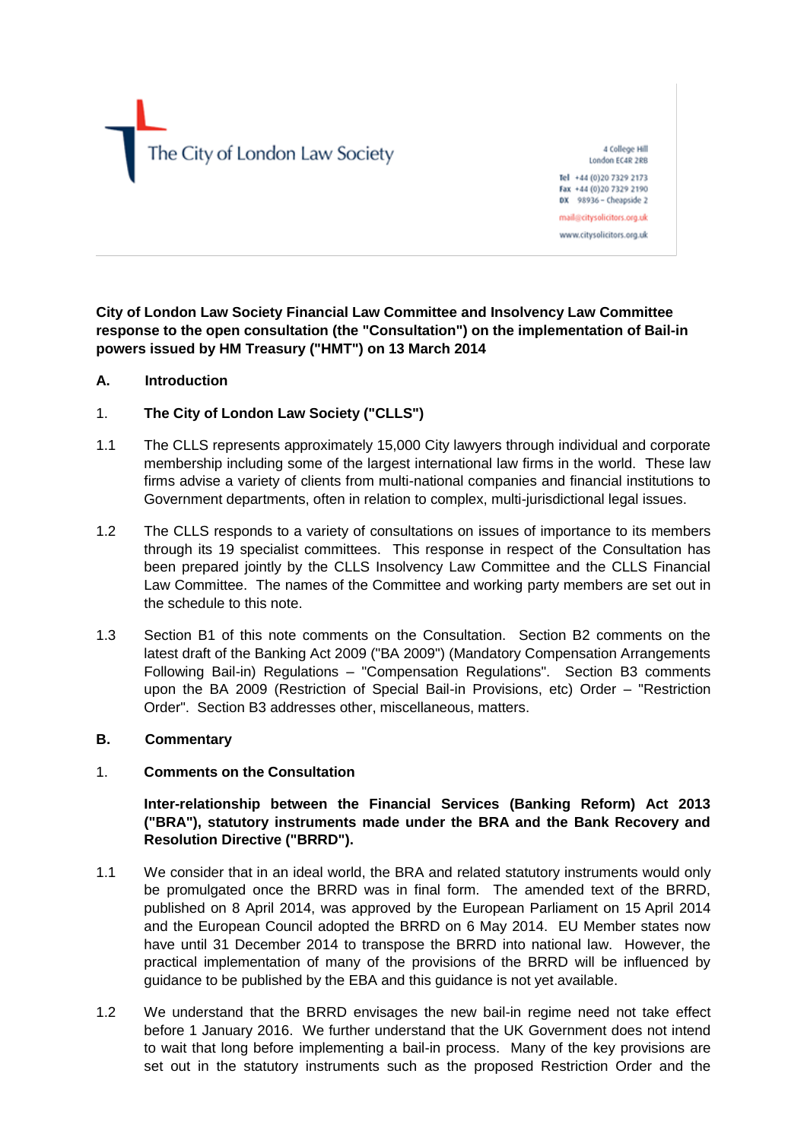The City of London Law Society

4 College Hill London EC4R 2RB Tel +44 (0) 20 7329 2173 Fax +44 (0)20 7329 2190 DX 98936 - Cheapside 2 mail@citysolicitors.org.uk www.citysolicitors.org.uk

**City of London Law Society Financial Law Committee and Insolvency Law Committee response to the open consultation (the "Consultation") on the implementation of Bail-in powers issued by HM Treasury ("HMT") on 13 March 2014**

### **A. Introduction**

## 1. **The City of London Law Society ("CLLS")**

- 1.1 The CLLS represents approximately 15,000 City lawyers through individual and corporate membership including some of the largest international law firms in the world. These law firms advise a variety of clients from multi-national companies and financial institutions to Government departments, often in relation to complex, multi-jurisdictional legal issues.
- 1.2 The CLLS responds to a variety of consultations on issues of importance to its members through its 19 specialist committees. This response in respect of the Consultation has been prepared jointly by the CLLS Insolvency Law Committee and the CLLS Financial Law Committee. The names of the Committee and working party members are set out in the schedule to this note.
- 1.3 Section B1 of this note comments on the Consultation. Section B2 comments on the latest draft of the Banking Act 2009 ("BA 2009") (Mandatory Compensation Arrangements Following Bail-in) Regulations – "Compensation Regulations". Section B3 comments upon the BA 2009 (Restriction of Special Bail-in Provisions, etc) Order – "Restriction Order". Section B3 addresses other, miscellaneous, matters.

### **B. Commentary**

### 1. **Comments on the Consultation**

**Inter-relationship between the Financial Services (Banking Reform) Act 2013 ("BRA"), statutory instruments made under the BRA and the Bank Recovery and Resolution Directive ("BRRD").**

- 1.1 We consider that in an ideal world, the BRA and related statutory instruments would only be promulgated once the BRRD was in final form. The amended text of the BRRD, published on 8 April 2014, was approved by the European Parliament on 15 April 2014 and the European Council adopted the BRRD on 6 May 2014. EU Member states now have until 31 December 2014 to transpose the BRRD into national law. However, the practical implementation of many of the provisions of the BRRD will be influenced by guidance to be published by the EBA and this guidance is not yet available.
- 1.2 We understand that the BRRD envisages the new bail-in regime need not take effect before 1 January 2016. We further understand that the UK Government does not intend to wait that long before implementing a bail-in process. Many of the key provisions are set out in the statutory instruments such as the proposed Restriction Order and the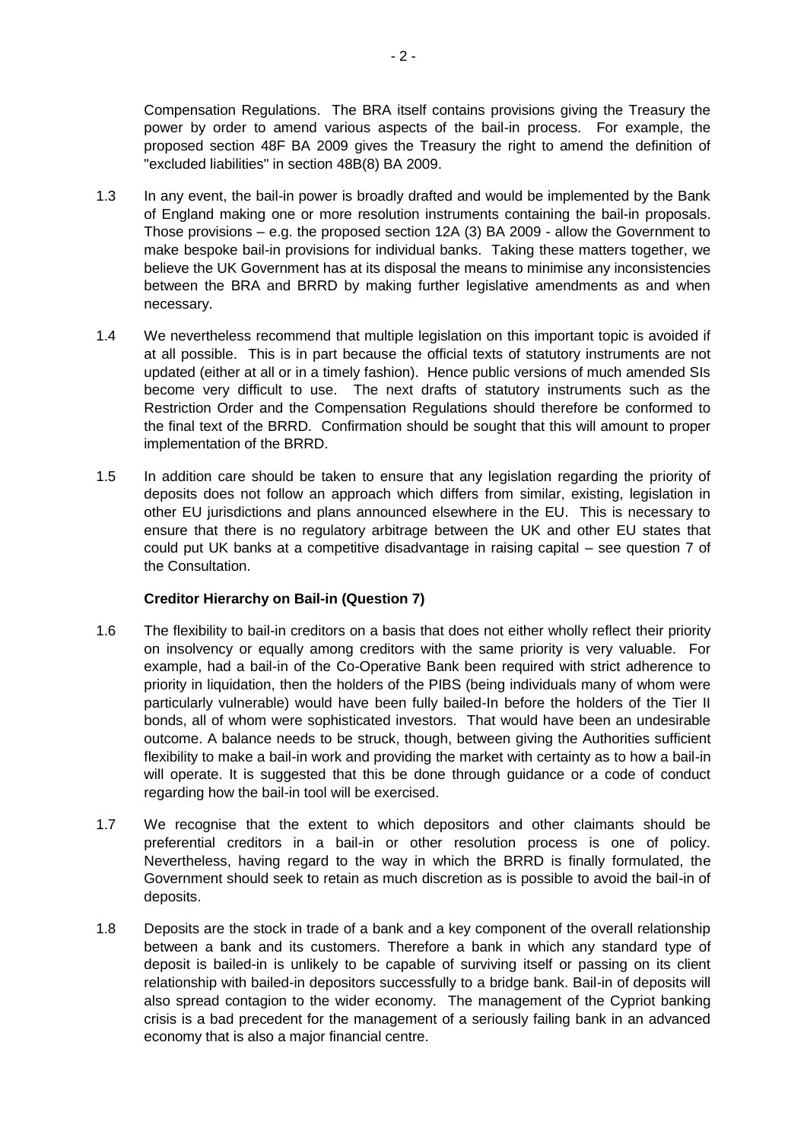Compensation Regulations. The BRA itself contains provisions giving the Treasury the power by order to amend various aspects of the bail-in process. For example, the proposed section 48F BA 2009 gives the Treasury the right to amend the definition of "excluded liabilities" in section 48B(8) BA 2009.

- 1.3 In any event, the bail-in power is broadly drafted and would be implemented by the Bank of England making one or more resolution instruments containing the bail-in proposals. Those provisions – e.g. the proposed section 12A (3) BA 2009 - allow the Government to make bespoke bail-in provisions for individual banks. Taking these matters together, we believe the UK Government has at its disposal the means to minimise any inconsistencies between the BRA and BRRD by making further legislative amendments as and when necessary.
- 1.4 We nevertheless recommend that multiple legislation on this important topic is avoided if at all possible. This is in part because the official texts of statutory instruments are not updated (either at all or in a timely fashion). Hence public versions of much amended SIs become very difficult to use. The next drafts of statutory instruments such as the Restriction Order and the Compensation Regulations should therefore be conformed to the final text of the BRRD. Confirmation should be sought that this will amount to proper implementation of the BRRD.
- 1.5 In addition care should be taken to ensure that any legislation regarding the priority of deposits does not follow an approach which differs from similar, existing, legislation in other EU jurisdictions and plans announced elsewhere in the EU. This is necessary to ensure that there is no regulatory arbitrage between the UK and other EU states that could put UK banks at a competitive disadvantage in raising capital – see question 7 of the Consultation.

## **Creditor Hierarchy on Bail-in (Question 7)**

- 1.6 The flexibility to bail-in creditors on a basis that does not either wholly reflect their priority on insolvency or equally among creditors with the same priority is very valuable. For example, had a bail-in of the Co-Operative Bank been required with strict adherence to priority in liquidation, then the holders of the PIBS (being individuals many of whom were particularly vulnerable) would have been fully bailed-In before the holders of the Tier II bonds, all of whom were sophisticated investors. That would have been an undesirable outcome. A balance needs to be struck, though, between giving the Authorities sufficient flexibility to make a bail-in work and providing the market with certainty as to how a bail-in will operate. It is suggested that this be done through guidance or a code of conduct regarding how the bail-in tool will be exercised.
- 1.7 We recognise that the extent to which depositors and other claimants should be preferential creditors in a bail-in or other resolution process is one of policy. Nevertheless, having regard to the way in which the BRRD is finally formulated, the Government should seek to retain as much discretion as is possible to avoid the bail-in of deposits.
- 1.8 Deposits are the stock in trade of a bank and a key component of the overall relationship between a bank and its customers. Therefore a bank in which any standard type of deposit is bailed-in is unlikely to be capable of surviving itself or passing on its client relationship with bailed-in depositors successfully to a bridge bank. Bail-in of deposits will also spread contagion to the wider economy. The management of the Cypriot banking crisis is a bad precedent for the management of a seriously failing bank in an advanced economy that is also a major financial centre.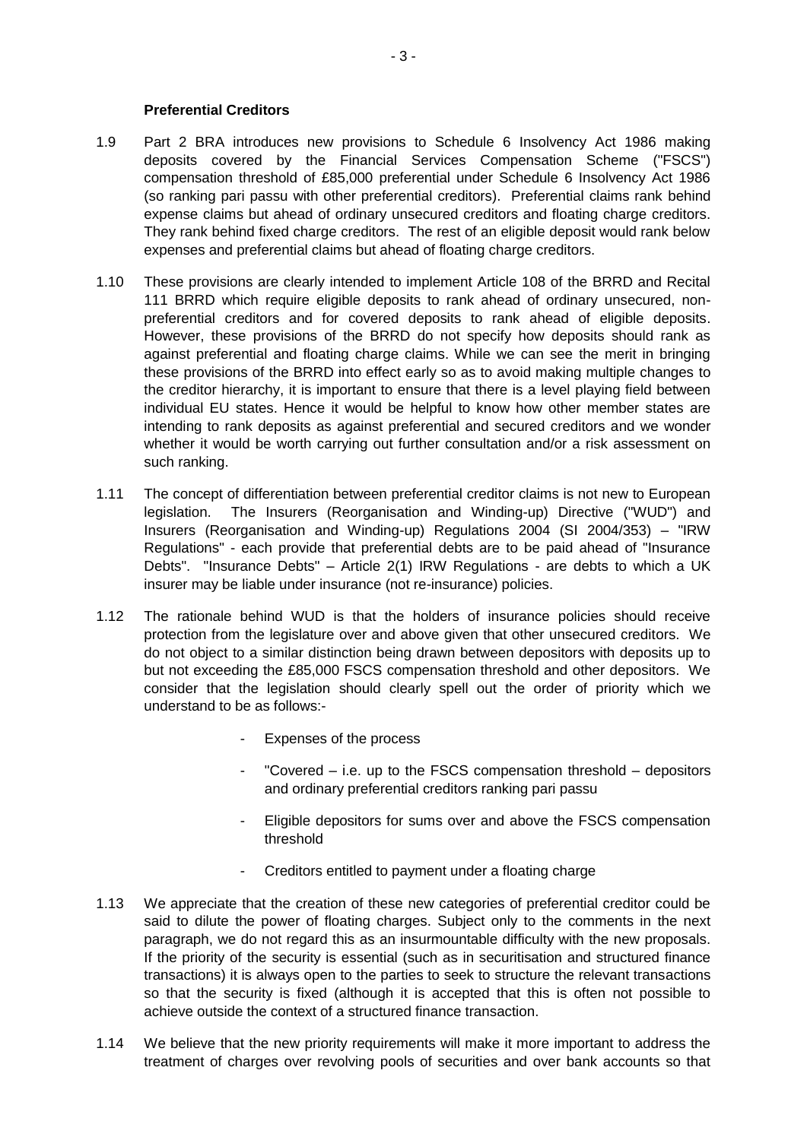### **Preferential Creditors**

- 1.9 Part 2 BRA introduces new provisions to Schedule 6 Insolvency Act 1986 making deposits covered by the Financial Services Compensation Scheme ("FSCS") compensation threshold of £85,000 preferential under Schedule 6 Insolvency Act 1986 (so ranking pari passu with other preferential creditors). Preferential claims rank behind expense claims but ahead of ordinary unsecured creditors and floating charge creditors. They rank behind fixed charge creditors. The rest of an eligible deposit would rank below expenses and preferential claims but ahead of floating charge creditors.
- 1.10 These provisions are clearly intended to implement Article 108 of the BRRD and Recital 111 BRRD which require eligible deposits to rank ahead of ordinary unsecured, nonpreferential creditors and for covered deposits to rank ahead of eligible deposits. However, these provisions of the BRRD do not specify how deposits should rank as against preferential and floating charge claims. While we can see the merit in bringing these provisions of the BRRD into effect early so as to avoid making multiple changes to the creditor hierarchy, it is important to ensure that there is a level playing field between individual EU states. Hence it would be helpful to know how other member states are intending to rank deposits as against preferential and secured creditors and we wonder whether it would be worth carrying out further consultation and/or a risk assessment on such ranking.
- 1.11 The concept of differentiation between preferential creditor claims is not new to European legislation. The Insurers (Reorganisation and Winding-up) Directive ("WUD") and Insurers (Reorganisation and Winding-up) Regulations 2004 (SI 2004/353) – "IRW Regulations" - each provide that preferential debts are to be paid ahead of "Insurance Debts". "Insurance Debts" – Article 2(1) IRW Regulations - are debts to which a UK insurer may be liable under insurance (not re-insurance) policies.
- 1.12 The rationale behind WUD is that the holders of insurance policies should receive protection from the legislature over and above given that other unsecured creditors. We do not object to a similar distinction being drawn between depositors with deposits up to but not exceeding the £85,000 FSCS compensation threshold and other depositors. We consider that the legislation should clearly spell out the order of priority which we understand to be as follows:-
	- Expenses of the process
	- "Covered  $-$  i.e. up to the FSCS compensation threshold  $-$  depositors and ordinary preferential creditors ranking pari passu
	- Eligible depositors for sums over and above the FSCS compensation threshold
	- Creditors entitled to payment under a floating charge
- 1.13 We appreciate that the creation of these new categories of preferential creditor could be said to dilute the power of floating charges. Subject only to the comments in the next paragraph, we do not regard this as an insurmountable difficulty with the new proposals. If the priority of the security is essential (such as in securitisation and structured finance transactions) it is always open to the parties to seek to structure the relevant transactions so that the security is fixed (although it is accepted that this is often not possible to achieve outside the context of a structured finance transaction.
- 1.14 We believe that the new priority requirements will make it more important to address the treatment of charges over revolving pools of securities and over bank accounts so that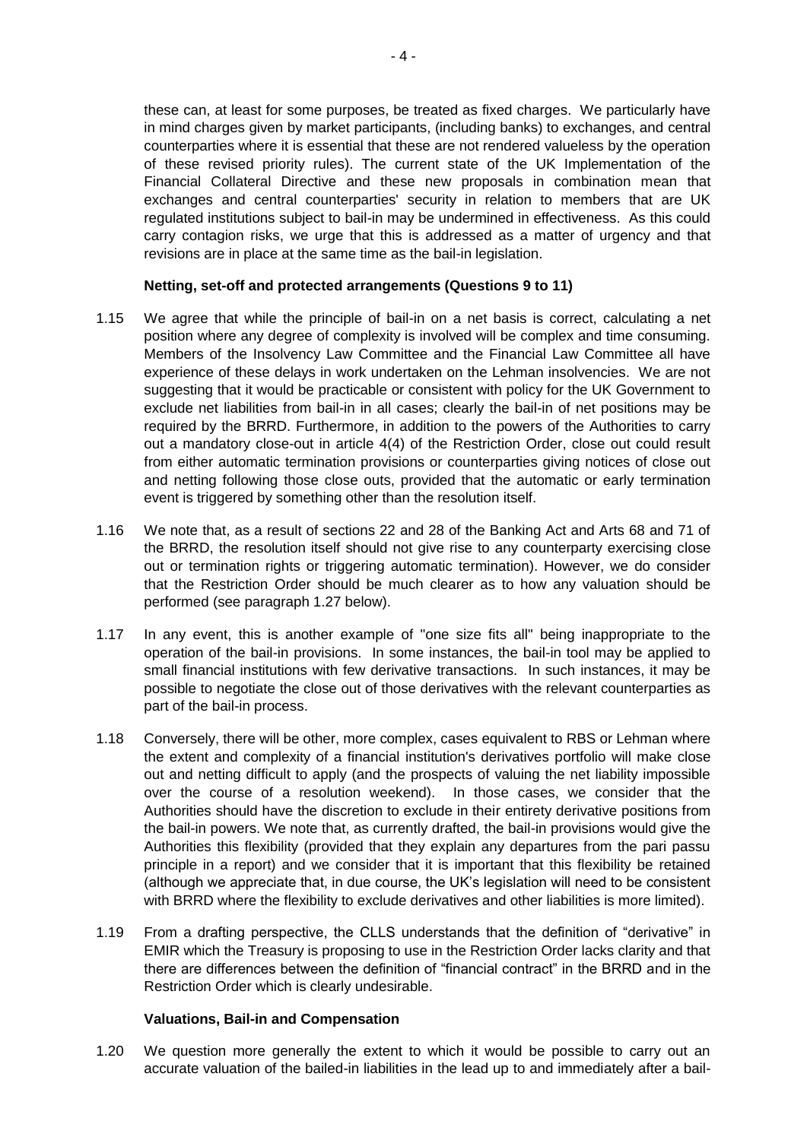these can, at least for some purposes, be treated as fixed charges. We particularly have in mind charges given by market participants, (including banks) to exchanges, and central counterparties where it is essential that these are not rendered valueless by the operation of these revised priority rules). The current state of the UK Implementation of the Financial Collateral Directive and these new proposals in combination mean that exchanges and central counterparties' security in relation to members that are UK regulated institutions subject to bail-in may be undermined in effectiveness. As this could carry contagion risks, we urge that this is addressed as a matter of urgency and that revisions are in place at the same time as the bail-in legislation.

### **Netting, set-off and protected arrangements (Questions 9 to 11)**

- 1.15 We agree that while the principle of bail-in on a net basis is correct, calculating a net position where any degree of complexity is involved will be complex and time consuming. Members of the Insolvency Law Committee and the Financial Law Committee all have experience of these delays in work undertaken on the Lehman insolvencies. We are not suggesting that it would be practicable or consistent with policy for the UK Government to exclude net liabilities from bail-in in all cases; clearly the bail-in of net positions may be required by the BRRD. Furthermore, in addition to the powers of the Authorities to carry out a mandatory close-out in article 4(4) of the Restriction Order, close out could result from either automatic termination provisions or counterparties giving notices of close out and netting following those close outs, provided that the automatic or early termination event is triggered by something other than the resolution itself.
- 1.16 We note that, as a result of sections 22 and 28 of the Banking Act and Arts 68 and 71 of the BRRD, the resolution itself should not give rise to any counterparty exercising close out or termination rights or triggering automatic termination). However, we do consider that the Restriction Order should be much clearer as to how any valuation should be performed (see paragraph 1.27 below).
- 1.17 In any event, this is another example of "one size fits all" being inappropriate to the operation of the bail-in provisions. In some instances, the bail-in tool may be applied to small financial institutions with few derivative transactions. In such instances, it may be possible to negotiate the close out of those derivatives with the relevant counterparties as part of the bail-in process.
- 1.18 Conversely, there will be other, more complex, cases equivalent to RBS or Lehman where the extent and complexity of a financial institution's derivatives portfolio will make close out and netting difficult to apply (and the prospects of valuing the net liability impossible over the course of a resolution weekend). In those cases, we consider that the Authorities should have the discretion to exclude in their entirety derivative positions from the bail-in powers. We note that, as currently drafted, the bail-in provisions would give the Authorities this flexibility (provided that they explain any departures from the pari passu principle in a report) and we consider that it is important that this flexibility be retained (although we appreciate that, in due course, the UK's legislation will need to be consistent with BRRD where the flexibility to exclude derivatives and other liabilities is more limited).
- 1.19 From a drafting perspective, the CLLS understands that the definition of "derivative" in EMIR which the Treasury is proposing to use in the Restriction Order lacks clarity and that there are differences between the definition of "financial contract" in the BRRD and in the Restriction Order which is clearly undesirable.

### **Valuations, Bail-in and Compensation**

1.20 We question more generally the extent to which it would be possible to carry out an accurate valuation of the bailed-in liabilities in the lead up to and immediately after a bail-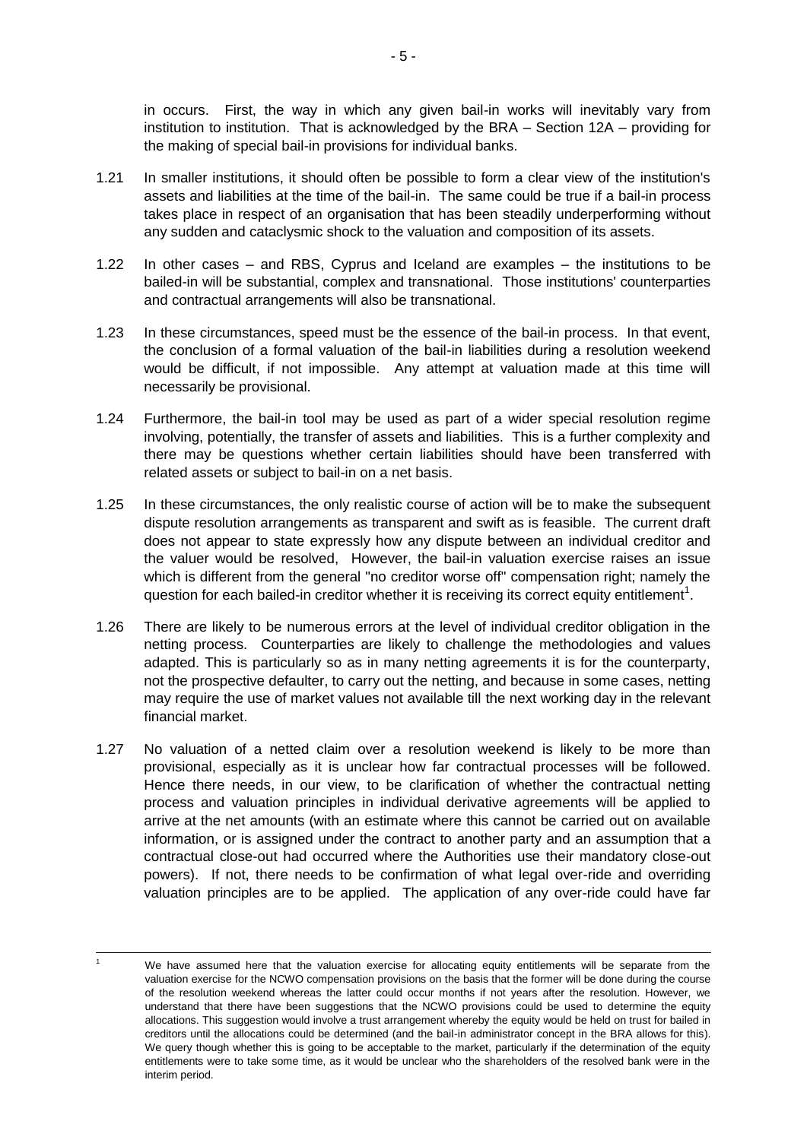in occurs. First, the way in which any given bail-in works will inevitably vary from institution to institution. That is acknowledged by the BRA – Section 12A – providing for the making of special bail-in provisions for individual banks.

- 1.21 In smaller institutions, it should often be possible to form a clear view of the institution's assets and liabilities at the time of the bail-in. The same could be true if a bail-in process takes place in respect of an organisation that has been steadily underperforming without any sudden and cataclysmic shock to the valuation and composition of its assets.
- 1.22 In other cases and RBS, Cyprus and Iceland are examples the institutions to be bailed-in will be substantial, complex and transnational. Those institutions' counterparties and contractual arrangements will also be transnational.
- 1.23 In these circumstances, speed must be the essence of the bail-in process. In that event, the conclusion of a formal valuation of the bail-in liabilities during a resolution weekend would be difficult, if not impossible. Any attempt at valuation made at this time will necessarily be provisional.
- 1.24 Furthermore, the bail-in tool may be used as part of a wider special resolution regime involving, potentially, the transfer of assets and liabilities. This is a further complexity and there may be questions whether certain liabilities should have been transferred with related assets or subject to bail-in on a net basis.
- 1.25 In these circumstances, the only realistic course of action will be to make the subsequent dispute resolution arrangements as transparent and swift as is feasible. The current draft does not appear to state expressly how any dispute between an individual creditor and the valuer would be resolved, However, the bail-in valuation exercise raises an issue which is different from the general "no creditor worse off" compensation right; namely the question for each bailed-in creditor whether it is receiving its correct equity entitlement<sup>1</sup>.
- 1.26 There are likely to be numerous errors at the level of individual creditor obligation in the netting process. Counterparties are likely to challenge the methodologies and values adapted. This is particularly so as in many netting agreements it is for the counterparty, not the prospective defaulter, to carry out the netting, and because in some cases, netting may require the use of market values not available till the next working day in the relevant financial market.
- 1.27 No valuation of a netted claim over a resolution weekend is likely to be more than provisional, especially as it is unclear how far contractual processes will be followed. Hence there needs, in our view, to be clarification of whether the contractual netting process and valuation principles in individual derivative agreements will be applied to arrive at the net amounts (with an estimate where this cannot be carried out on available information, or is assigned under the contract to another party and an assumption that a contractual close-out had occurred where the Authorities use their mandatory close-out powers). If not, there needs to be confirmation of what legal over-ride and overriding valuation principles are to be applied. The application of any over-ride could have far

We have assumed here that the valuation exercise for allocating equity entitlements will be separate from the valuation exercise for the NCWO compensation provisions on the basis that the former will be done during the course of the resolution weekend whereas the latter could occur months if not years after the resolution. However, we understand that there have been suggestions that the NCWO provisions could be used to determine the equity allocations. This suggestion would involve a trust arrangement whereby the equity would be held on trust for bailed in creditors until the allocations could be determined (and the bail-in administrator concept in the BRA allows for this). We query though whether this is going to be acceptable to the market, particularly if the determination of the equity entitlements were to take some time, as it would be unclear who the shareholders of the resolved bank were in the interim period.

 $\overline{a}$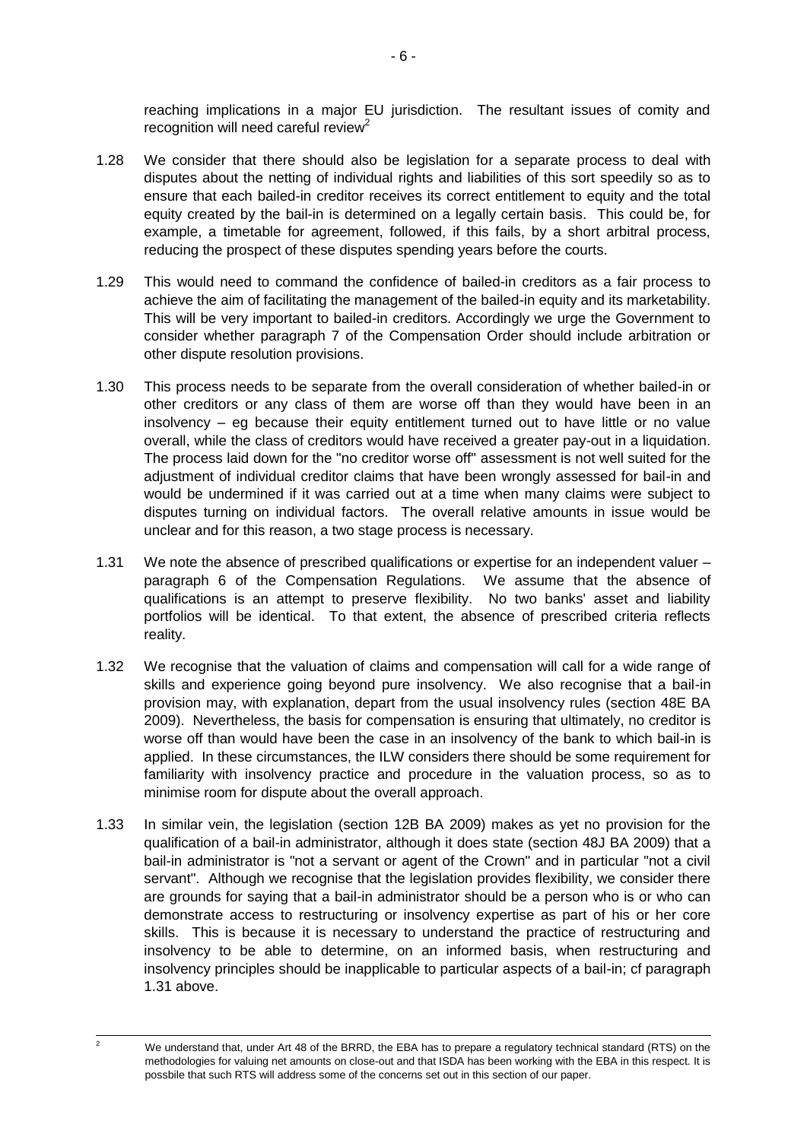reaching implications in a major EU jurisdiction. The resultant issues of comity and recognition will need careful review<sup>2</sup>

- 1.28 We consider that there should also be legislation for a separate process to deal with disputes about the netting of individual rights and liabilities of this sort speedily so as to ensure that each bailed-in creditor receives its correct entitlement to equity and the total equity created by the bail-in is determined on a legally certain basis. This could be, for example, a timetable for agreement, followed, if this fails, by a short arbitral process, reducing the prospect of these disputes spending years before the courts.
- 1.29 This would need to command the confidence of bailed-in creditors as a fair process to achieve the aim of facilitating the management of the bailed-in equity and its marketability. This will be very important to bailed-in creditors. Accordingly we urge the Government to consider whether paragraph 7 of the Compensation Order should include arbitration or other dispute resolution provisions.
- 1.30 This process needs to be separate from the overall consideration of whether bailed-in or other creditors or any class of them are worse off than they would have been in an insolvency – eg because their equity entitlement turned out to have little or no value overall, while the class of creditors would have received a greater pay-out in a liquidation. The process laid down for the "no creditor worse off" assessment is not well suited for the adjustment of individual creditor claims that have been wrongly assessed for bail-in and would be undermined if it was carried out at a time when many claims were subject to disputes turning on individual factors. The overall relative amounts in issue would be unclear and for this reason, a two stage process is necessary.
- 1.31 We note the absence of prescribed qualifications or expertise for an independent valuer paragraph 6 of the Compensation Regulations. We assume that the absence of qualifications is an attempt to preserve flexibility. No two banks' asset and liability portfolios will be identical. To that extent, the absence of prescribed criteria reflects reality.
- 1.32 We recognise that the valuation of claims and compensation will call for a wide range of skills and experience going beyond pure insolvency. We also recognise that a bail-in provision may, with explanation, depart from the usual insolvency rules (section 48E BA 2009). Nevertheless, the basis for compensation is ensuring that ultimately, no creditor is worse off than would have been the case in an insolvency of the bank to which bail-in is applied. In these circumstances, the ILW considers there should be some requirement for familiarity with insolvency practice and procedure in the valuation process, so as to minimise room for dispute about the overall approach.
- 1.33 In similar vein, the legislation (section 12B BA 2009) makes as yet no provision for the qualification of a bail-in administrator, although it does state (section 48J BA 2009) that a bail-in administrator is "not a servant or agent of the Crown" and in particular "not a civil servant". Although we recognise that the legislation provides flexibility, we consider there are grounds for saying that a bail-in administrator should be a person who is or who can demonstrate access to restructuring or insolvency expertise as part of his or her core skills. This is because it is necessary to understand the practice of restructuring and insolvency to be able to determine, on an informed basis, when restructuring and insolvency principles should be inapplicable to particular aspects of a bail-in; cf paragraph 1.31 above.

 $\overline{2}$ 

<sup>2</sup> We understand that, under Art 48 of the BRRD, the EBA has to prepare a regulatory technical standard (RTS) on the methodologies for valuing net amounts on close-out and that ISDA has been working with the EBA in this respect. It is possbile that such RTS will address some of the concerns set out in this section of our paper.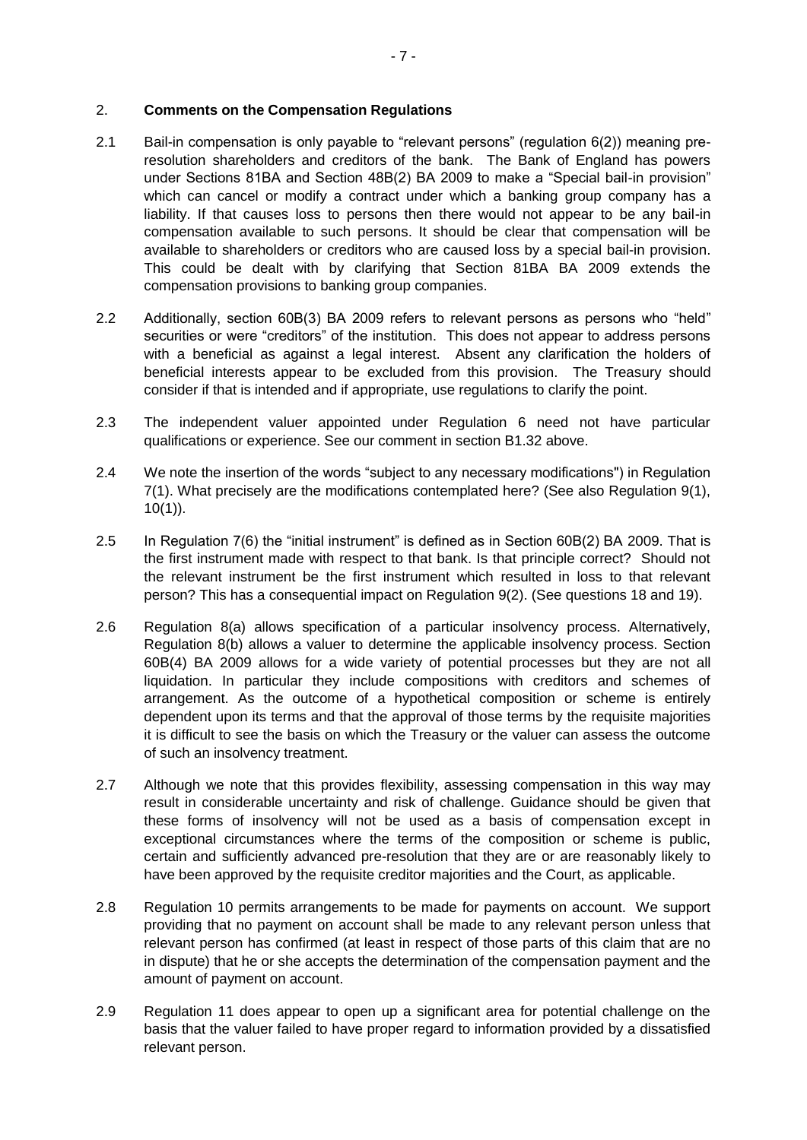### 2. **Comments on the Compensation Regulations**

- 2.1 Bail-in compensation is only payable to "relevant persons" (regulation 6(2)) meaning preresolution shareholders and creditors of the bank. The Bank of England has powers under Sections 81BA and Section 48B(2) BA 2009 to make a "Special bail-in provision" which can cancel or modify a contract under which a banking group company has a liability. If that causes loss to persons then there would not appear to be any bail-in compensation available to such persons. It should be clear that compensation will be available to shareholders or creditors who are caused loss by a special bail-in provision. This could be dealt with by clarifying that Section 81BA BA 2009 extends the compensation provisions to banking group companies.
- 2.2 Additionally, section 60B(3) BA 2009 refers to relevant persons as persons who "held" securities or were "creditors" of the institution. This does not appear to address persons with a beneficial as against a legal interest. Absent any clarification the holders of beneficial interests appear to be excluded from this provision. The Treasury should consider if that is intended and if appropriate, use regulations to clarify the point.
- 2.3 The independent valuer appointed under Regulation 6 need not have particular qualifications or experience. See our comment in section B1.32 above.
- 2.4 We note the insertion of the words "subject to any necessary modifications") in Regulation 7(1). What precisely are the modifications contemplated here? (See also Regulation 9(1),  $10(1)$ ).
- 2.5 In Regulation 7(6) the "initial instrument" is defined as in Section 60B(2) BA 2009. That is the first instrument made with respect to that bank. Is that principle correct? Should not the relevant instrument be the first instrument which resulted in loss to that relevant person? This has a consequential impact on Regulation 9(2). (See questions 18 and 19).
- 2.6 Regulation 8(a) allows specification of a particular insolvency process. Alternatively, Regulation 8(b) allows a valuer to determine the applicable insolvency process. Section 60B(4) BA 2009 allows for a wide variety of potential processes but they are not all liquidation. In particular they include compositions with creditors and schemes of arrangement. As the outcome of a hypothetical composition or scheme is entirely dependent upon its terms and that the approval of those terms by the requisite majorities it is difficult to see the basis on which the Treasury or the valuer can assess the outcome of such an insolvency treatment.
- 2.7 Although we note that this provides flexibility, assessing compensation in this way may result in considerable uncertainty and risk of challenge. Guidance should be given that these forms of insolvency will not be used as a basis of compensation except in exceptional circumstances where the terms of the composition or scheme is public, certain and sufficiently advanced pre-resolution that they are or are reasonably likely to have been approved by the requisite creditor majorities and the Court, as applicable.
- 2.8 Regulation 10 permits arrangements to be made for payments on account. We support providing that no payment on account shall be made to any relevant person unless that relevant person has confirmed (at least in respect of those parts of this claim that are no in dispute) that he or she accepts the determination of the compensation payment and the amount of payment on account.
- 2.9 Regulation 11 does appear to open up a significant area for potential challenge on the basis that the valuer failed to have proper regard to information provided by a dissatisfied relevant person.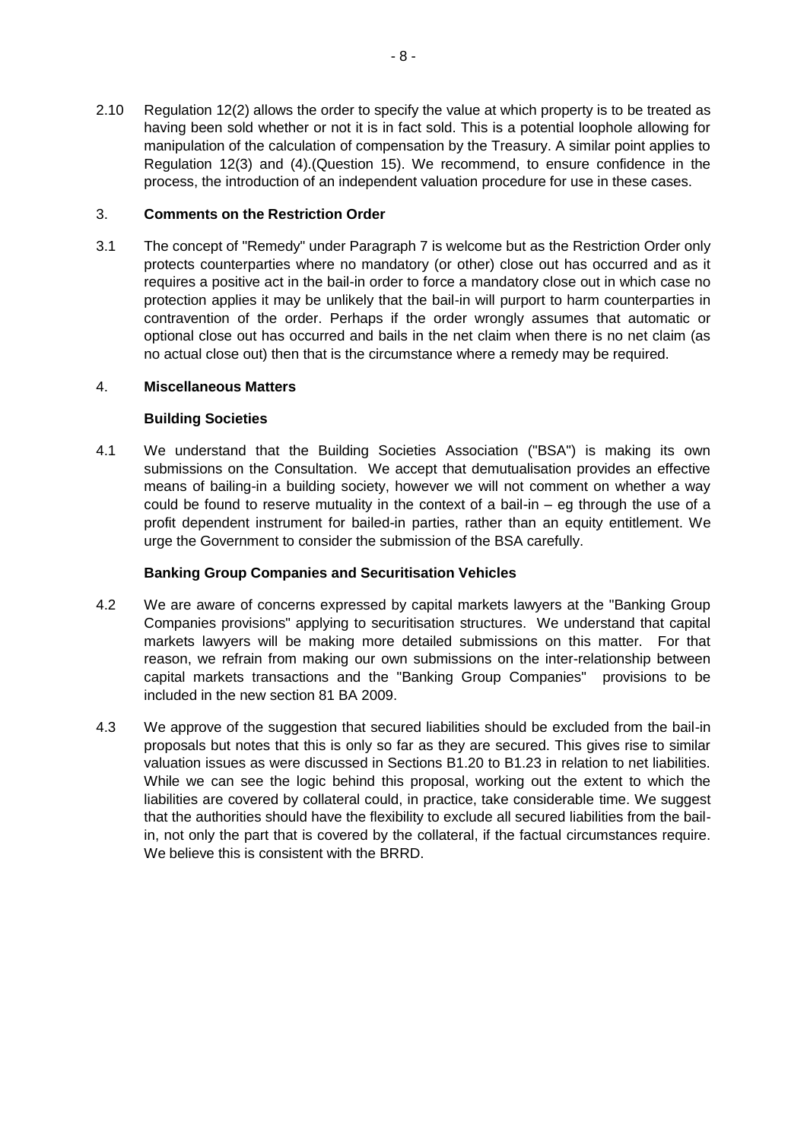2.10 Regulation 12(2) allows the order to specify the value at which property is to be treated as having been sold whether or not it is in fact sold. This is a potential loophole allowing for manipulation of the calculation of compensation by the Treasury. A similar point applies to Regulation 12(3) and (4).(Question 15). We recommend, to ensure confidence in the process, the introduction of an independent valuation procedure for use in these cases.

## 3. **Comments on the Restriction Order**

3.1 The concept of "Remedy" under Paragraph 7 is welcome but as the Restriction Order only protects counterparties where no mandatory (or other) close out has occurred and as it requires a positive act in the bail-in order to force a mandatory close out in which case no protection applies it may be unlikely that the bail-in will purport to harm counterparties in contravention of the order. Perhaps if the order wrongly assumes that automatic or optional close out has occurred and bails in the net claim when there is no net claim (as no actual close out) then that is the circumstance where a remedy may be required.

## 4. **Miscellaneous Matters**

# **Building Societies**

4.1 We understand that the Building Societies Association ("BSA") is making its own submissions on the Consultation. We accept that demutualisation provides an effective means of bailing-in a building society, however we will not comment on whether a way could be found to reserve mutuality in the context of a bail-in – eg through the use of a profit dependent instrument for bailed-in parties, rather than an equity entitlement. We urge the Government to consider the submission of the BSA carefully.

## **Banking Group Companies and Securitisation Vehicles**

- 4.2 We are aware of concerns expressed by capital markets lawyers at the "Banking Group Companies provisions" applying to securitisation structures. We understand that capital markets lawyers will be making more detailed submissions on this matter. For that reason, we refrain from making our own submissions on the inter-relationship between capital markets transactions and the "Banking Group Companies" provisions to be included in the new section 81 BA 2009.
- 4.3 We approve of the suggestion that secured liabilities should be excluded from the bail-in proposals but notes that this is only so far as they are secured. This gives rise to similar valuation issues as were discussed in Sections B1.20 to B1.23 in relation to net liabilities. While we can see the logic behind this proposal, working out the extent to which the liabilities are covered by collateral could, in practice, take considerable time. We suggest that the authorities should have the flexibility to exclude all secured liabilities from the bailin, not only the part that is covered by the collateral, if the factual circumstances require. We believe this is consistent with the BRRD.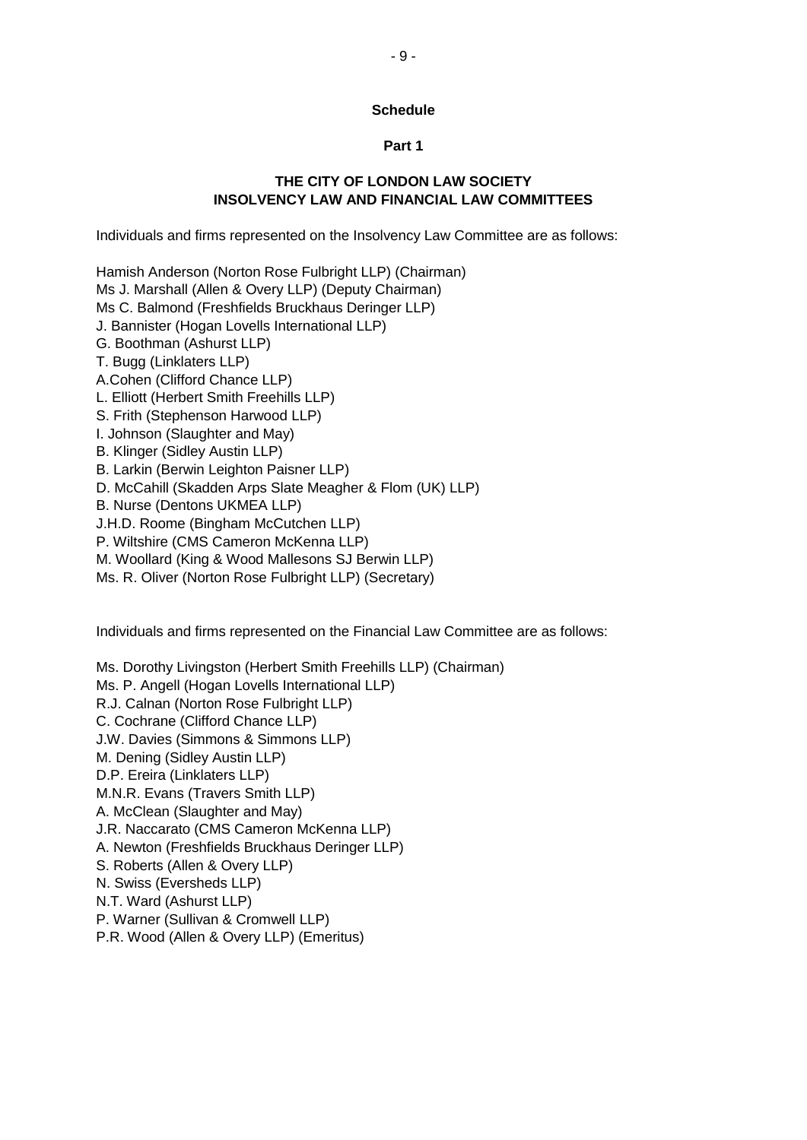### **Schedule**

### **Part 1**

### **THE CITY OF LONDON LAW SOCIETY INSOLVENCY LAW AND FINANCIAL LAW COMMITTEES**

Individuals and firms represented on the Insolvency Law Committee are as follows:

Hamish Anderson (Norton Rose Fulbright LLP) (Chairman) Ms J. Marshall (Allen & Overy LLP) (Deputy Chairman) Ms C. Balmond (Freshfields Bruckhaus Deringer LLP) J. Bannister (Hogan Lovells International LLP) G. Boothman (Ashurst LLP) T. Bugg (Linklaters LLP) A.Cohen (Clifford Chance LLP) L. Elliott (Herbert Smith Freehills LLP) S. Frith (Stephenson Harwood LLP) I. Johnson (Slaughter and May) B. Klinger (Sidley Austin LLP) B. Larkin (Berwin Leighton Paisner LLP) D. McCahill (Skadden Arps Slate Meagher & Flom (UK) LLP) B. Nurse (Dentons UKMEA LLP) J.H.D. Roome (Bingham McCutchen LLP) P. Wiltshire (CMS Cameron McKenna LLP) M. Woollard (King & Wood Mallesons SJ Berwin LLP) Ms. R. Oliver (Norton Rose Fulbright LLP) (Secretary)

Individuals and firms represented on the Financial Law Committee are as follows:

Ms. Dorothy Livingston (Herbert Smith Freehills LLP) (Chairman) Ms. P. Angell (Hogan Lovells International LLP) R.J. Calnan (Norton Rose Fulbright LLP) C. Cochrane (Clifford Chance LLP) J.W. Davies (Simmons & Simmons LLP) M. Dening (Sidley Austin LLP) D.P. Ereira (Linklaters LLP) M.N.R. Evans (Travers Smith LLP) A. McClean (Slaughter and May) J.R. Naccarato (CMS Cameron McKenna LLP) A. Newton (Freshfields Bruckhaus Deringer LLP) S. Roberts (Allen & Overy LLP) N. Swiss (Eversheds LLP) N.T. Ward (Ashurst LLP) P. Warner (Sullivan & Cromwell LLP) P.R. Wood (Allen & Overy LLP) (Emeritus)